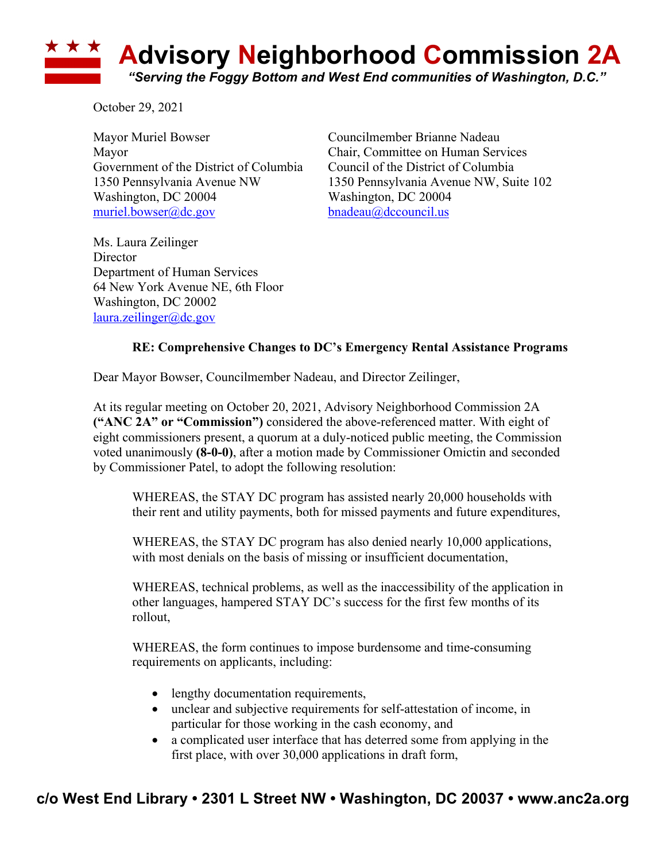## **Advisory Neighborhood Commission 2A** *"Serving the Foggy Bottom and West End communities of Washington, D.C."*

October 29, 2021

Mayor Muriel Bowser Councilmember Brianne Nadeau Mayor Chair, Committee on Human Services Government of the District of Columbia Council of the District of Columbia Washington, DC 20004 Washington, DC 20004 muriel.bowser@dc.gov bnadeau@dccouncil.us

1350 Pennsylvania Avenue NW 1350 Pennsylvania Avenue NW, Suite 102

Ms. Laura Zeilinger **Director** Department of Human Services 64 New York Avenue NE, 6th Floor Washington, DC 20002 laura.zeilinger@dc.gov

## **RE: Comprehensive Changes to DC's Emergency Rental Assistance Programs**

Dear Mayor Bowser, Councilmember Nadeau, and Director Zeilinger,

At its regular meeting on October 20, 2021, Advisory Neighborhood Commission 2A **("ANC 2A" or "Commission")** considered the above-referenced matter. With eight of eight commissioners present, a quorum at a duly-noticed public meeting, the Commission voted unanimously **(8-0-0)**, after a motion made by Commissioner Omictin and seconded by Commissioner Patel, to adopt the following resolution:

WHEREAS, the STAY DC program has assisted nearly 20,000 households with their rent and utility payments, both for missed payments and future expenditures,

WHEREAS, the STAY DC program has also denied nearly 10,000 applications, with most denials on the basis of missing or insufficient documentation,

WHEREAS, technical problems, as well as the inaccessibility of the application in other languages, hampered STAY DC's success for the first few months of its rollout,

WHEREAS, the form continues to impose burdensome and time-consuming requirements on applicants, including:

- lengthy documentation requirements,
- unclear and subjective requirements for self-attestation of income, in particular for those working in the cash economy, and
- a complicated user interface that has deterred some from applying in the first place, with over 30,000 applications in draft form,